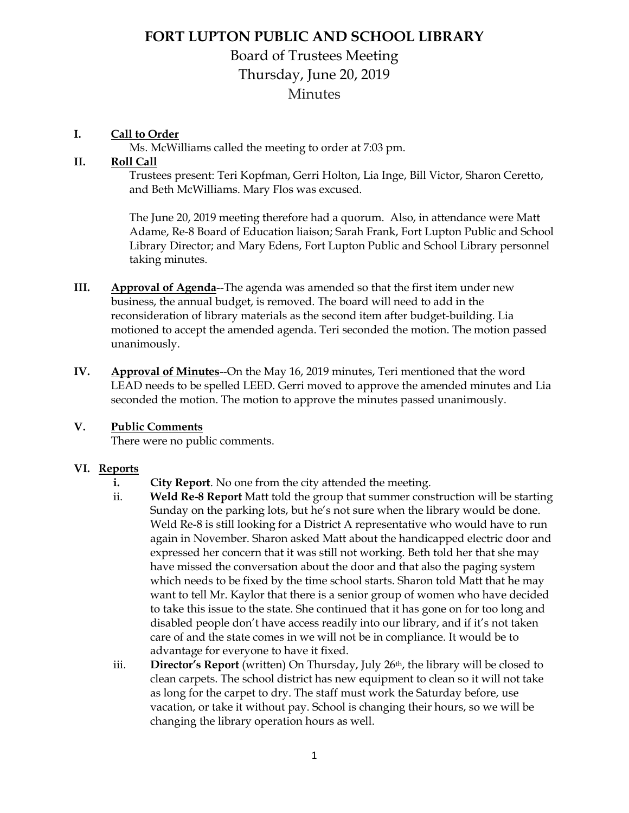## **FORT LUPTON PUBLIC AND SCHOOL LIBRARY**

# Board of Trustees Meeting Thursday, June 20, 2019 **Minutes**

### **I. Call to Order**

Ms. McWilliams called the meeting to order at 7:03 pm.

#### **II. Roll Call**

Trustees present: Teri Kopfman, Gerri Holton, Lia Inge, Bill Victor, Sharon Ceretto, and Beth McWilliams. Mary Flos was excused.

The June 20, 2019 meeting therefore had a quorum. Also, in attendance were Matt Adame, Re-8 Board of Education liaison; Sarah Frank, Fort Lupton Public and School Library Director; and Mary Edens, Fort Lupton Public and School Library personnel taking minutes.

- **III. Approval of Agenda--The agenda was amended so that the first item under new** business, the annual budget, is removed. The board will need to add in the reconsideration of library materials as the second item after budget-building. Lia motioned to accept the amended agenda. Teri seconded the motion. The motion passed unanimously.
- **IV. Approval of Minutes**--On the May 16, 2019 minutes, Teri mentioned that the word LEAD needs to be spelled LEED. Gerri moved to approve the amended minutes and Lia seconded the motion. The motion to approve the minutes passed unanimously.

### **V. Public Comments**

There were no public comments.

### **VI. Reports**

- **i. City Report**. No one from the city attended the meeting.
- ii. **Weld Re-8 Report** Matt told the group that summer construction will be starting Sunday on the parking lots, but he's not sure when the library would be done. Weld Re-8 is still looking for a District A representative who would have to run again in November. Sharon asked Matt about the handicapped electric door and expressed her concern that it was still not working. Beth told her that she may have missed the conversation about the door and that also the paging system which needs to be fixed by the time school starts. Sharon told Matt that he may want to tell Mr. Kaylor that there is a senior group of women who have decided to take this issue to the state. She continued that it has gone on for too long and disabled people don't have access readily into our library, and if it's not taken care of and the state comes in we will not be in compliance. It would be to advantage for everyone to have it fixed.
- iii. **Director's Report** (written) On Thursday, July 26<sup>th</sup>, the library will be closed to clean carpets. The school district has new equipment to clean so it will not take as long for the carpet to dry. The staff must work the Saturday before, use vacation, or take it without pay. School is changing their hours, so we will be changing the library operation hours as well.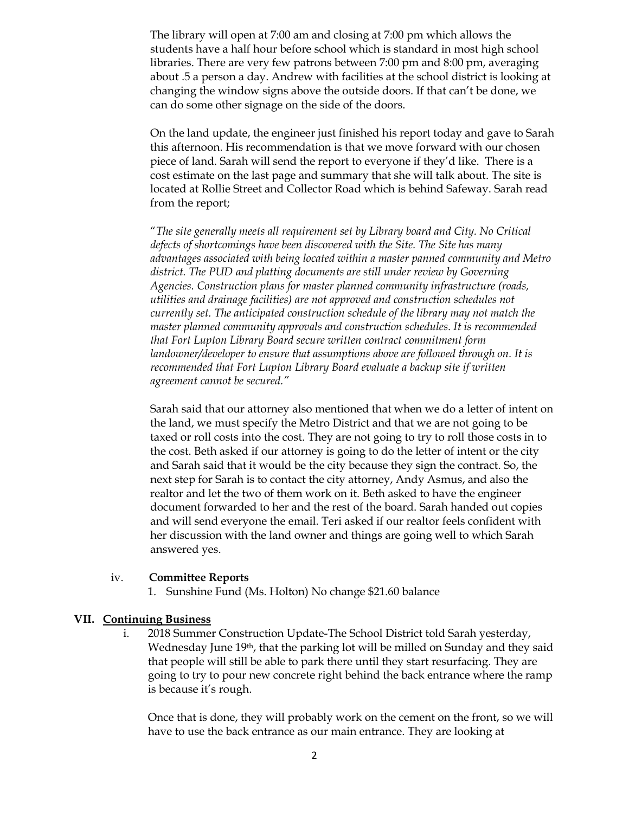The library will open at 7:00 am and closing at 7:00 pm which allows the students have a half hour before school which is standard in most high school libraries. There are very few patrons between 7:00 pm and 8:00 pm, averaging about .5 a person a day. Andrew with facilities at the school district is looking at changing the window signs above the outside doors. If that can't be done, we can do some other signage on the side of the doors.

On the land update, the engineer just finished his report today and gave to Sarah this afternoon. His recommendation is that we move forward with our chosen piece of land. Sarah will send the report to everyone if they'd like. There is a cost estimate on the last page and summary that she will talk about. The site is located at Rollie Street and Collector Road which is behind Safeway. Sarah read from the report;

"*The site generally meets all requirement set by Library board and City. No Critical defects of shortcomings have been discovered with the Site. The Site has many advantages associated with being located within a master panned community and Metro district. The PUD and platting documents are still under review by Governing Agencies. Construction plans for master planned community infrastructure (roads, utilities and drainage facilities) are not approved and construction schedules not currently set. The anticipated construction schedule of the library may not match the master planned community approvals and construction schedules. It is recommended that Fort Lupton Library Board secure written contract commitment form landowner/developer to ensure that assumptions above are followed through on. It is recommended that Fort Lupton Library Board evaluate a backup site if written agreement cannot be secured."*

Sarah said that our attorney also mentioned that when we do a letter of intent on the land, we must specify the Metro District and that we are not going to be taxed or roll costs into the cost. They are not going to try to roll those costs in to the cost. Beth asked if our attorney is going to do the letter of intent or the city and Sarah said that it would be the city because they sign the contract. So, the next step for Sarah is to contact the city attorney, Andy Asmus, and also the realtor and let the two of them work on it. Beth asked to have the engineer document forwarded to her and the rest of the board. Sarah handed out copies and will send everyone the email. Teri asked if our realtor feels confident with her discussion with the land owner and things are going well to which Sarah answered yes.

#### iv. **Committee Reports**

1. Sunshine Fund (Ms. Holton) No change \$21.60 balance

#### **VII. Continuing Business**

i. 2018 Summer Construction Update-The School District told Sarah yesterday, Wednesday June 19<sup>th</sup>, that the parking lot will be milled on Sunday and they said that people will still be able to park there until they start resurfacing. They are going to try to pour new concrete right behind the back entrance where the ramp is because it's rough.

Once that is done, they will probably work on the cement on the front, so we will have to use the back entrance as our main entrance. They are looking at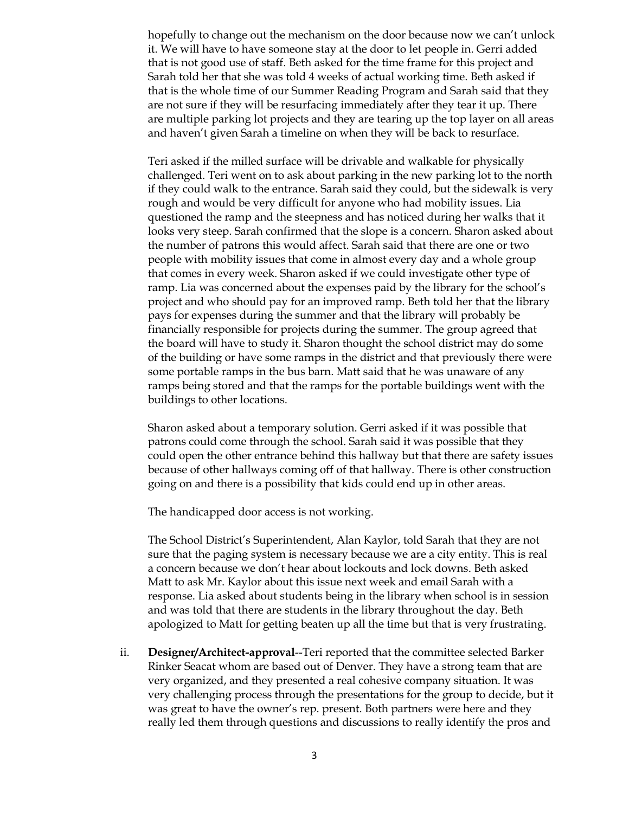hopefully to change out the mechanism on the door because now we can't unlock it. We will have to have someone stay at the door to let people in. Gerri added that is not good use of staff. Beth asked for the time frame for this project and Sarah told her that she was told 4 weeks of actual working time. Beth asked if that is the whole time of our Summer Reading Program and Sarah said that they are not sure if they will be resurfacing immediately after they tear it up. There are multiple parking lot projects and they are tearing up the top layer on all areas and haven't given Sarah a timeline on when they will be back to resurface.

Teri asked if the milled surface will be drivable and walkable for physically challenged. Teri went on to ask about parking in the new parking lot to the north if they could walk to the entrance. Sarah said they could, but the sidewalk is very rough and would be very difficult for anyone who had mobility issues. Lia questioned the ramp and the steepness and has noticed during her walks that it looks very steep. Sarah confirmed that the slope is a concern. Sharon asked about the number of patrons this would affect. Sarah said that there are one or two people with mobility issues that come in almost every day and a whole group that comes in every week. Sharon asked if we could investigate other type of ramp. Lia was concerned about the expenses paid by the library for the school's project and who should pay for an improved ramp. Beth told her that the library pays for expenses during the summer and that the library will probably be financially responsible for projects during the summer. The group agreed that the board will have to study it. Sharon thought the school district may do some of the building or have some ramps in the district and that previously there were some portable ramps in the bus barn. Matt said that he was unaware of any ramps being stored and that the ramps for the portable buildings went with the buildings to other locations.

Sharon asked about a temporary solution. Gerri asked if it was possible that patrons could come through the school. Sarah said it was possible that they could open the other entrance behind this hallway but that there are safety issues because of other hallways coming off of that hallway. There is other construction going on and there is a possibility that kids could end up in other areas.

The handicapped door access is not working.

The School District's Superintendent, Alan Kaylor, told Sarah that they are not sure that the paging system is necessary because we are a city entity. This is real a concern because we don't hear about lockouts and lock downs. Beth asked Matt to ask Mr. Kaylor about this issue next week and email Sarah with a response. Lia asked about students being in the library when school is in session and was told that there are students in the library throughout the day. Beth apologized to Matt for getting beaten up all the time but that is very frustrating.

ii. **Designer/Architect-approval**--Teri reported that the committee selected Barker Rinker Seacat whom are based out of Denver. They have a strong team that are very organized, and they presented a real cohesive company situation. It was very challenging process through the presentations for the group to decide, but it was great to have the owner's rep. present. Both partners were here and they really led them through questions and discussions to really identify the pros and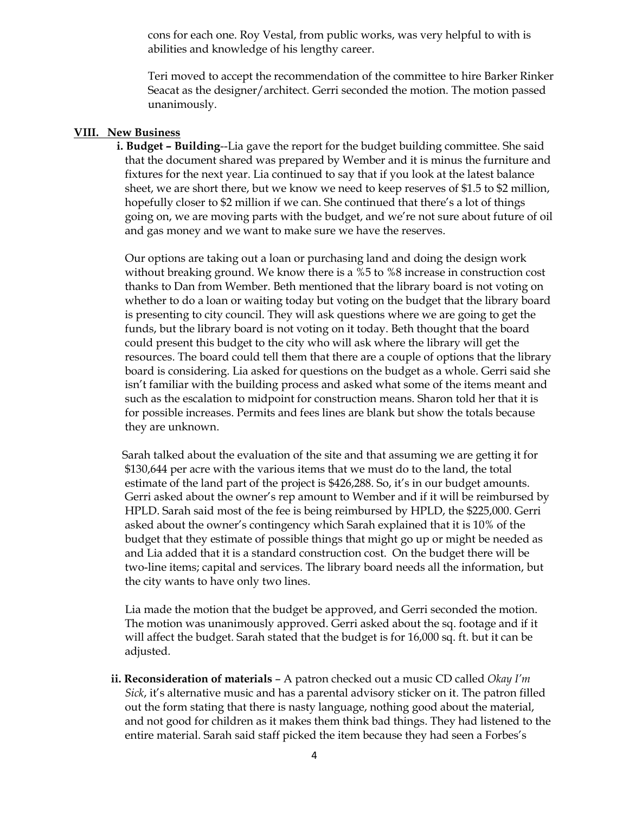cons for each one. Roy Vestal, from public works, was very helpful to with is abilities and knowledge of his lengthy career.

Teri moved to accept the recommendation of the committee to hire Barker Rinker Seacat as the designer/architect. Gerri seconded the motion. The motion passed unanimously.

#### **VIII. New Business**

 **i. Budget – Building**--Lia gave the report for the budget building committee. She said that the document shared was prepared by Wember and it is minus the furniture and fixtures for the next year. Lia continued to say that if you look at the latest balance sheet, we are short there, but we know we need to keep reserves of \$1.5 to \$2 million, hopefully closer to \$2 million if we can. She continued that there's a lot of things going on, we are moving parts with the budget, and we're not sure about future of oil and gas money and we want to make sure we have the reserves.

 Our options are taking out a loan or purchasing land and doing the design work without breaking ground. We know there is a %5 to %8 increase in construction cost thanks to Dan from Wember. Beth mentioned that the library board is not voting on whether to do a loan or waiting today but voting on the budget that the library board is presenting to city council. They will ask questions where we are going to get the funds, but the library board is not voting on it today. Beth thought that the board could present this budget to the city who will ask where the library will get the resources. The board could tell them that there are a couple of options that the library board is considering. Lia asked for questions on the budget as a whole. Gerri said she isn't familiar with the building process and asked what some of the items meant and such as the escalation to midpoint for construction means. Sharon told her that it is for possible increases. Permits and fees lines are blank but show the totals because they are unknown.

 Sarah talked about the evaluation of the site and that assuming we are getting it for \$130,644 per acre with the various items that we must do to the land, the total estimate of the land part of the project is \$426,288. So, it's in our budget amounts. Gerri asked about the owner's rep amount to Wember and if it will be reimbursed by HPLD. Sarah said most of the fee is being reimbursed by HPLD, the \$225,000. Gerri asked about the owner's contingency which Sarah explained that it is 10% of the budget that they estimate of possible things that might go up or might be needed as and Lia added that it is a standard construction cost. On the budget there will be two-line items; capital and services. The library board needs all the information, but the city wants to have only two lines.

 Lia made the motion that the budget be approved, and Gerri seconded the motion. The motion was unanimously approved. Gerri asked about the sq. footage and if it will affect the budget. Sarah stated that the budget is for 16,000 sq. ft. but it can be adjusted.

**ii. Reconsideration of materials** – A patron checked out a music CD called *Okay I'm Sick*, it's alternative music and has a parental advisory sticker on it. The patron filled out the form stating that there is nasty language, nothing good about the material, and not good for children as it makes them think bad things. They had listened to the entire material. Sarah said staff picked the item because they had seen a Forbes's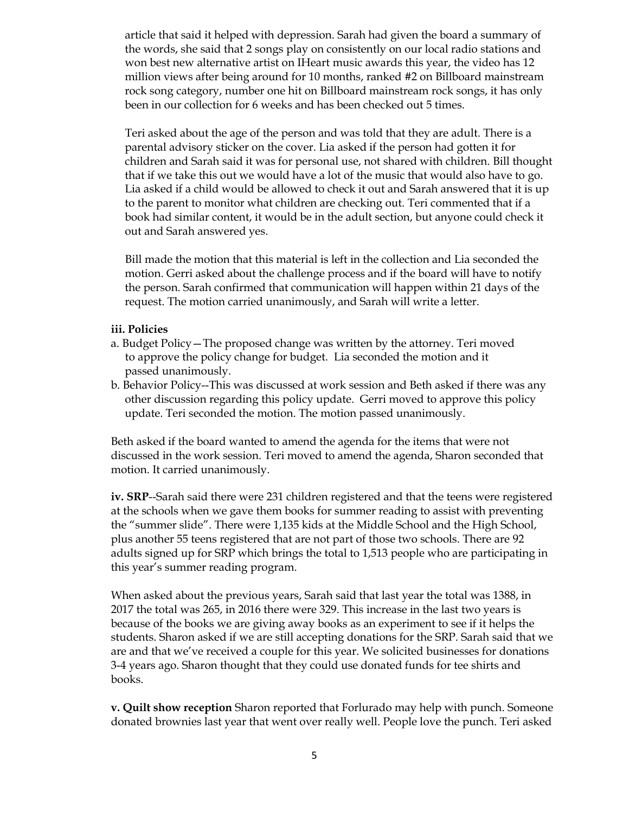article that said it helped with depression. Sarah had given the board a summary of the words, she said that 2 songs play on consistently on our local radio stations and won best new alternative artist on IHeart music awards this year, the video has 12 million views after being around for 10 months, ranked #2 on Billboard mainstream rock song category, number one hit on Billboard mainstream rock songs, it has only been in our collection for 6 weeks and has been checked out 5 times.

 Teri asked about the age of the person and was told that they are adult. There is a parental advisory sticker on the cover. Lia asked if the person had gotten it for children and Sarah said it was for personal use, not shared with children. Bill thought that if we take this out we would have a lot of the music that would also have to go. Lia asked if a child would be allowed to check it out and Sarah answered that it is up to the parent to monitor what children are checking out. Teri commented that if a book had similar content, it would be in the adult section, but anyone could check it out and Sarah answered yes.

 Bill made the motion that this material is left in the collection and Lia seconded the motion. Gerri asked about the challenge process and if the board will have to notify the person. Sarah confirmed that communication will happen within 21 days of the request. The motion carried unanimously, and Sarah will write a letter.

#### **iii. Policies**

- a. Budget Policy—The proposed change was written by the attorney. Teri moved to approve the policy change for budget. Lia seconded the motion and it passed unanimously.
- b. Behavior Policy--This was discussed at work session and Beth asked if there was any other discussion regarding this policy update. Gerri moved to approve this policy update. Teri seconded the motion. The motion passed unanimously.

Beth asked if the board wanted to amend the agenda for the items that were not discussed in the work session. Teri moved to amend the agenda, Sharon seconded that motion. It carried unanimously.

**iv. SRP**--Sarah said there were 231 children registered and that the teens were registered at the schools when we gave them books for summer reading to assist with preventing the "summer slide". There were 1,135 kids at the Middle School and the High School, plus another 55 teens registered that are not part of those two schools. There are 92 adults signed up for SRP which brings the total to 1,513 people who are participating in this year's summer reading program.

When asked about the previous years, Sarah said that last year the total was 1388, in 2017 the total was 265, in 2016 there were 329. This increase in the last two years is because of the books we are giving away books as an experiment to see if it helps the students. Sharon asked if we are still accepting donations for the SRP. Sarah said that we are and that we've received a couple for this year. We solicited businesses for donations 3-4 years ago. Sharon thought that they could use donated funds for tee shirts and books.

**v. Quilt show reception** Sharon reported that Forlurado may help with punch. Someone donated brownies last year that went over really well. People love the punch. Teri asked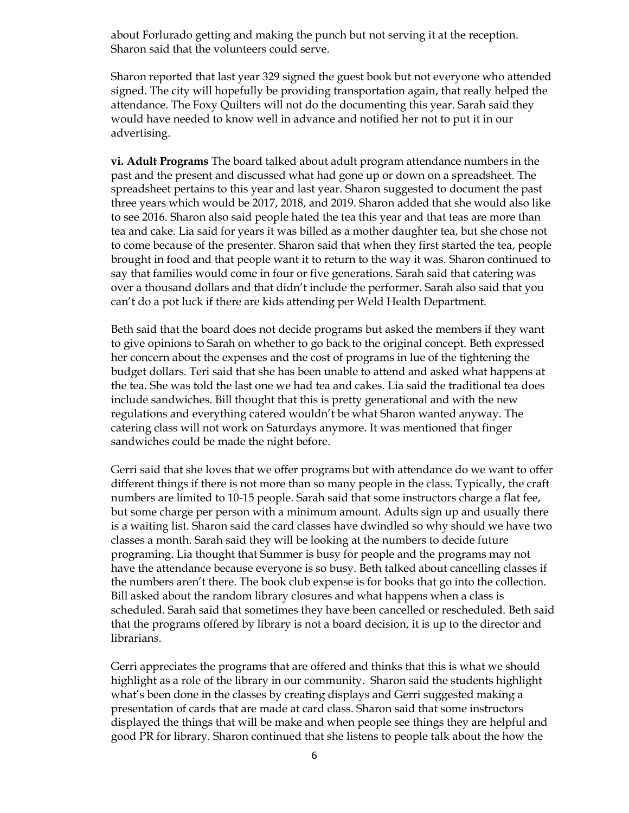about Forlurado getting and making the punch but not serving it at the reception. Sharon said that the volunteers could serve.

Sharon reported that last year 329 signed the guest book but not everyone who attended signed. The city will hopefully be providing transportation again, that really helped the attendance. The Foxy Quilters will not do the documenting this year. Sarah said they would have needed to know well in advance and notified her not to put it in our advertising.

**vi. Adult Programs** The board talked about adult program attendance numbers in the past and the present and discussed what had gone up or down on a spreadsheet. The spreadsheet pertains to this year and last year. Sharon suggested to document the past three years which would be 2017, 2018, and 2019. Sharon added that she would also like to see 2016. Sharon also said people hated the tea this year and that teas are more than tea and cake. Lia said for years it was billed as a mother daughter tea, but she chose not to come because of the presenter. Sharon said that when they first started the tea, people brought in food and that people want it to return to the way it was. Sharon continued to say that families would come in four or five generations. Sarah said that catering was over a thousand dollars and that didn't include the performer. Sarah also said that you can't do a pot luck if there are kids attending per Weld Health Department.

Beth said that the board does not decide programs but asked the members if they want to give opinions to Sarah on whether to go back to the original concept. Beth expressed her concern about the expenses and the cost of programs in lue of the tightening the budget dollars. Teri said that she has been unable to attend and asked what happens at the tea. She was told the last one we had tea and cakes. Lia said the traditional tea does include sandwiches. Bill thought that this is pretty generational and with the new regulations and everything catered wouldn't be what Sharon wanted anyway. The catering class will not work on Saturdays anymore. It was mentioned that finger sandwiches could be made the night before.

Gerri said that she loves that we offer programs but with attendance do we want to offer different things if there is not more than so many people in the class. Typically, the craft numbers are limited to 10-15 people. Sarah said that some instructors charge a flat fee, but some charge per person with a minimum amount. Adults sign up and usually there is a waiting list. Sharon said the card classes have dwindled so why should we have two classes a month. Sarah said they will be looking at the numbers to decide future programing. Lia thought that Summer is busy for people and the programs may not have the attendance because everyone is so busy. Beth talked about cancelling classes if the numbers aren't there. The book club expense is for books that go into the collection. Bill asked about the random library closures and what happens when a class is scheduled. Sarah said that sometimes they have been cancelled or rescheduled. Beth said that the programs offered by library is not a board decision, it is up to the director and librarians.

Gerri appreciates the programs that are offered and thinks that this is what we should highlight as a role of the library in our community. Sharon said the students highlight what's been done in the classes by creating displays and Gerri suggested making a presentation of cards that are made at card class. Sharon said that some instructors displayed the things that will be make and when people see things they are helpful and good PR for library. Sharon continued that she listens to people talk about the how the